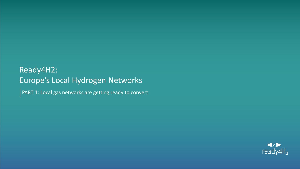# Ready4H2: Europe's Local Hydrogen Networks

PART 1: Local gas networks are getting ready to convert

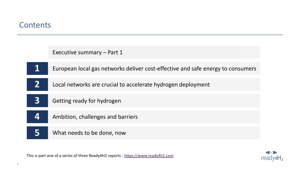

This is part one of a series of three Ready4H2 reports - [https://www.ready4h2.com](https://www.ready4h2.com/)

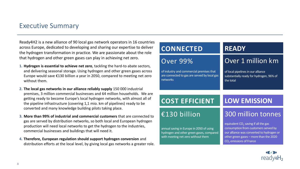# Executive Summary

Ready4H2 is a new alliance of 90 local gas network operators in 16 countries across Europe, dedicated to developing and sharing our expertise to deliver the hydrogen transformation in practice. We are passionate about the role that hydrogen and other green gases can play in achieving net zero.

- **1. Hydrogen is essential to achieve net zero**, tackling the hard-to abate sectors, and delivering seasonal storage. Using hydrogen and other green gases across Europe would save €130 billion a year in 2050, compared to meeting net zero without them.
- **2. The local gas networks in our alliance reliably supply** 150 000 industrial premises, 3 million commercial businesses and 64 million households. We are getting ready to become Europe's local hydrogen networks, with almost all of the pipeline infrastructure (covering 1,1 mio. km of pipelines) ready to be converted and many knowledge building pilots taking place.
- **3. More than 99% of industrial and commercial customers** that are connected to gas are served by distribution networks, so both local and European hydrogen production will need local networks to get the hydrogen to the industries, commercial businesses and buildings that will need it.
- **4. Therefore, European regulation should support hydrogen conversion** and distribution efforts at the local level, by giving local gas networks a greater role.

| <b>CONNECTED</b>                                                                                     | <b>READY</b>                                                                                |  |
|------------------------------------------------------------------------------------------------------|---------------------------------------------------------------------------------------------|--|
| <b>Over 99%</b>                                                                                      | Over 1 million km                                                                           |  |
| of industry and commercial premises that<br>are connected to gas are served by local gas<br>networks | of local pipelines in our alliance<br>substantially ready for hydrogen, 96% of<br>the total |  |
|                                                                                                      |                                                                                             |  |
| <b>COST EFFICIENT</b>                                                                                | <b>LOW EMISSION</b>                                                                         |  |
| €130 billion                                                                                         | 300 million tonnes                                                                          |  |

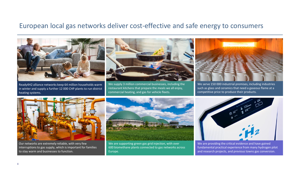## European local gas networks deliver cost-effective and safe energy to consumers



Ready4H2 alliance networks keep 64 million households warm in winter and supply a further 12 000 CHP plants to run district heating systems.



We supply 3 million commercial businesses, including the restaurant kitchens that prepare the meals we all enjoy, commercial heating, and gas for vehicle fleets.



We serve 150 000 industrial premises, including industries such as glass and ceramics that need a gaseous flame at a competitive price to produce their products.



Our networks are extremely reliable, with very few interruptions to gas supply, which is important for families to stay warm and businesses to function.



We are supporting green gas grid injection, with over 600 biomethane plants connected to gas networks across Europe.



We are providing the critical evidence and have gained fundamental practical experience from many hydrogen pilot and research projects, and previous towns gas conversion.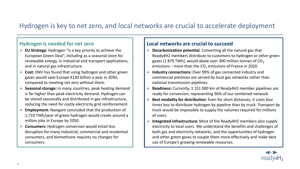# Hydrogen is key to net zero, and local networks are crucial to accelerate deployment

#### **Hydrogen is needed for net zero**

- ➢ **EU Strategy:** Hydrogen "is a key priority to achieve the European Green Deal", including as a seasonal store for renewable energy, in industrial and transport applications, and in natural gas infrastructure.
- ➢ **Cost:** DNV has found that using hydrogen and other green gases would save Europe €130 billion a year in 2050, compared to meeting net zero without them.
- ➢ **Seasonal storage:** In many countries, peak heating demand is far higher than peak electricity demand. Hydrogen can be stored seasonally and distributed in gas infrastructure, reducing the need for costly electricity grid reinforcement.
- ➢ **Employment:** Navigant concluded that the production of 1,710 TWh/year of green hydrogen would create around a million jobs in Europe by 2050.
- ➢ **Consumers:** Hydrogen conversion would entail less disruption for many industrial, commercial and residential consumers, and biomethane requires no changes for consumers.

#### **Local networks are crucial to succeed**

- ➢ **Decarbonization potential**: Converting all the natural gas that Ready4H2 members distribute to customers to hydrogen or other green gases (1 870 TWh), would abate over 300 million tonnes of  $CO<sub>2</sub>$ emissions – more than the  $CO<sub>2</sub>$  emissions of France in 2020.
- ➢ **Industry connections:** Over 99% of gas connected industry and commercial premises are served by local gas networks rather than national transmission pipelines.
- ➢ **Readiness:** Currently, 1 151 000 km of Ready4H2 member pipelines are ready for conversion, representing 96% of our combined network.
- ➢ **Best modality for distribution**: Even for short distances, it costs four times less to distribute hydrogen by pipeline than by truck. Transport by truck would be impossible to supply the volumes required for millions of users.
- ➢ **Integrated infrastructure:** Most of the Ready4H2 members also supply electricity to local users. We understand the benefits and challenges of both gas and electricity networks, and the opportunities of hydrogen and other green gases to couple them more effectively and make best use of Europe's growing renewable resources.

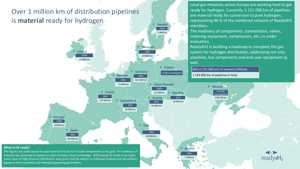# Over 1 million km of distribution pipelines is **material** ready for hydrogen

• Ireland

100% 12 000 km

Local gas networks across Europe are working hard to get ready for hydrogen. Currently, 1 151 000 km of pipelines are material ready for conversion to pure hydrogen, representing 96 % of the combined network of Ready4H2 members.

The readiness of components (connections, valves, metering equipment, compressors, etc.) is under evaluation.

Ready4H2 is building a roadmap to complete the gas system for hydrogen distribution, addressing not only pipelines, but components and end-user equipment as well.

96% (1 151 000 km) of network H2Ready

1 193 000 km of pipelines in total

• Ukraine % Under investigation 238 000 km

#### **What is H2 ready?**

6 based on their condition and intended operating parameters. The figures are solely based on pipe material and do not include components in the grid. The readiness of material was assessed by experts on basis of today's best knowledge. While being H2-ready in principle, some cases of high-pressure distribution steel grids shall be subject to individual analysis and calculations

• Spain

98% 83 000 km

**Portugal** 

100% 19 000 km

> • Greece 99%

• Sweden

100% 2 000 km

• Czech Republic

• Poland

Under investigation

**Austria** 

97% 43 000 km

100% 65 000 km

**Italy** 

98% 83 000 km **Slovakia** 

81% 33 000 km

• Germany

96% 522 000 km

• Denmark

89% 19 000 km

• France

98% 210 000 km **Belgium** 

99% 75 000 km

> 90% 20 000 km

• Switzerland

7 000 km

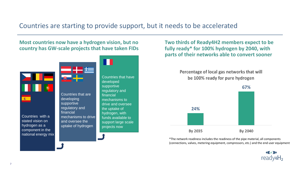# Countries are starting to provide support, but it needs to be accelerated

**Most countries now have a hydrogen vision, but no country has GW-scale projects that have taken FIDs** 



**Two thirds of Ready4H2 members expect to be fully ready\* for 100% hydrogen by 2040, with parts of their networks able to convert sooner**

> Percentage of local gas networks that will be 100% ready for pure hydrogen



\*The network readiness includes the readiness of the pipe material, all components (connections, valves, metering equipment, compressors, etc.) and the end user equipment

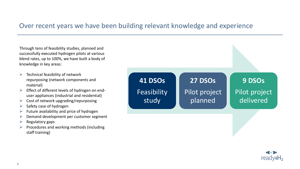# Over recent years we have been building relevant knowledge and experience

Through tens of feasibility studies, planned and successfully executed hydrogen pilots at various blend rates, up to 100%, we have built a body of knowledge in key areas:

- $\triangleright$  Technical feasibility of network repurposing (network components and material)
- ➢ Effect of different levels of hydrogen on enduser appliances (industrial and residential)
- $\triangleright$  Cost of network upgrading/repurposing
- $\triangleright$  Safety case of hydrogen
- ➢ Future availability and price of hydrogen
- $\triangleright$  Demand development per customer segment
- ➢ Regulatory gaps
- ➢ Procedures and working methods (including staff training)



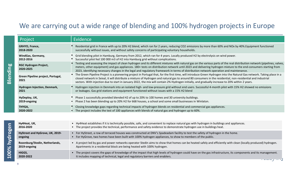# We are carrying out a wide range of blending and 100% hydrogen projects in Europe

| Project                                   | Evidence                                                                                                                                                                                                                                                                                                                                                                                                                                                                                    |
|-------------------------------------------|---------------------------------------------------------------------------------------------------------------------------------------------------------------------------------------------------------------------------------------------------------------------------------------------------------------------------------------------------------------------------------------------------------------------------------------------------------------------------------------------|
| <b>GRHYD, France,</b>                     | Residential grid in France with up to 20% H2 blend, which ran for 2 years, reducing CO2 emissions by more than 60% and NOx by 40%. Equipment functioned                                                                                                                                                                                                                                                                                                                                     |
| 2018-2020                                 | successfully without issues, and without safety concerns of participating voluntary households.                                                                                                                                                                                                                                                                                                                                                                                             |
| WindGas, Germany,                         | • Grid blending pilot in Hamburg, Germany from 2012, which ran for 4 years. Locally produced H2 by electrolysis on wind power.                                                                                                                                                                                                                                                                                                                                                              |
| 2012-2016                                 | • Successful pilot fed 100 000 m3 of H2 into Hamburg grid without complications.                                                                                                                                                                                                                                                                                                                                                                                                            |
| RGC Hydrogen Project,<br>2020-2025        | • Testing and assessing the impact of clean hydrogen and its different mixtures with natural gas on the various parts of the real distribution network (pipelines, valves,<br>meters, other equipment) and gas appliances. 180+ tests on distribution network until 2023 and delivering hydrogen mixture to the end-consumers starting from<br>2023, identifying necessary changes in the legal and regulatory framework in terms of distribution network operation and maintenance.        |
| Green Pipeline project, Portugal,<br>2021 | • The Green Pipeline Project is a pioneering project in Portugal that, for the first time, will introduce Green Hydrogen into the Natural Gas network. Taking place in a<br>closed network in Seixal, it will distribute a mixture of Hydrogen and natural gas to around 80 consumers in the residential, non-residential and industrial<br>sectors. With injection due to start in January 2022, the mix will contain 2% Hydrogen initially, and gradually increase to 20% within 2 years. |
| Hydrogen Injection, Denmark,              | Hydrogen injection in Denmark into an isolated high- and low-pressure grid without end users. Successful 4-month pilot with 15% H2 showed no emissions                                                                                                                                                                                                                                                                                                                                      |
| 2021                                      | or leakages. Gas grid stations and equipment functioned without issues with a 15% H2 blend                                                                                                                                                                                                                                                                                                                                                                                                  |
| HyDeploy, UK,                             | • Phase 1 successfully provided blended H2 of up to 20% to 100 homes and 30 university buildings.                                                                                                                                                                                                                                                                                                                                                                                           |
| 2019-ongoing                              | • Phase 2 has been blending up to 20% H2 for 668 houses, a school and some small businesses in Winlaton.                                                                                                                                                                                                                                                                                                                                                                                    |
| THYGA,                                    | Closing knowledge gaps regarding technical impacts of hydrogen blends on residential and commercial gas appliances.                                                                                                                                                                                                                                                                                                                                                                         |
| 2020-2022                                 | • The project includes the test of 100 appliances with blends of natural gas and hydrogen up to 60%.                                                                                                                                                                                                                                                                                                                                                                                        |
|                                           |                                                                                                                                                                                                                                                                                                                                                                                                                                                                                             |
| Hy4Heat, UK,                              | • Hy4Heat establishes if it is technically possible, safe, and convenient to replace natural gas with hydrogen in buildings and appliances.                                                                                                                                                                                                                                                                                                                                                 |

| ധ<br>Q<br>$\aleph$ | Hy4Heat, UK,<br>2016-2020                      | • Hy4Heat establishes if it is technically possible, safe, and convenient to replace natural gas with hydrogen in buildings and appliances.<br>• The project provides the technical, performance and safety evidence to demonstrate hydrogen use in buildings heat. |
|--------------------|------------------------------------------------|---------------------------------------------------------------------------------------------------------------------------------------------------------------------------------------------------------------------------------------------------------------------|
|                    | HyStreet and HyGrove, UK, 2019-<br>ongoing     | For HyStreet, a row of terraced houses was constructed at DNV's Spadeadam facility to test the safety of hydrogen in the home.<br>For HyGrove, two homes have been built with 100% hydrogen appliances, to show to members of the public.                           |
|                    | Rozenburg/Stedin, Netherlands,<br>2019-ongoing | • A project led by gas and power networks operator Stedin aims to show that homes can be heated safely and efficiently with clean (locally produced) hydrogen.<br>Apartments in a residential block are being heated with 100% hydrogen.                            |
| 0<br>Ŏ             | HIGGS,<br>2020-2022                            | The project covers the gaps of knowledge of the impact that high levels of hydrogen could have on the gas infrastructure, its components and its management.<br>It includes mapping of technical, legal and regulatory barriers and enablers.                       |
|                    |                                                |                                                                                                                                                                                                                                                                     |

**Blending**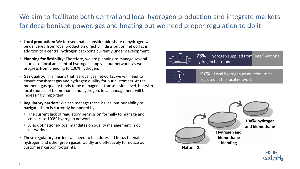# We aim to facilitate both central and local hydrogen production and integrate markets for decarbonised power, gas and heating but we need proper regulation to do it

- **Local production:** We foresee that a considerable share of hydrogen will be delivered from local production directly in distribution networks, in addition to a central hydrogen backbone currently under development.
- **Planning for flexibility:** Therefore, we are planning to manage several sources of local and central hydrogen supply in our networks as we progress from blending to 100% hydrogen.
- **Gas quality:** This means that, as local gas networks, we will need to ensure consistent gas and hydrogen quality for our customers. At the moment, gas quality tends to be managed at transmission level, but with local sources of biomethane and hydrogen, local management will be increasingly important.
- **Regulatory barriers:** We can manage these issues, but our ability to navigate them is currently hampered by:
	- The current lack of regulatory permission formally to manage and convert to 100% hydrogen networks.
	- A lack of national/local mandates on quality management in our networks.
- These regulatory barriers will need to be addressed for us to enable hydrogen and other green gases rapidly and effectively to reduce our customers' carbon footprints.



**73%** : Hydrogen supplied from (inter)-national hydrogen backbone



**27%** : Local hydrogen production, to be injected in the local network

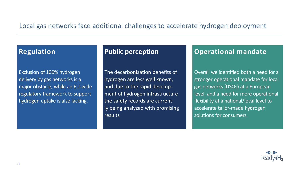# Local gas networks face additional challenges to accelerate hydrogen deployment

# **Regulation**

Exclusion of 100% hydrogen delivery by gas networks is a major obstacle, while an EU-wide regulatory framework to support hydrogen uptake is also lacking.

## **Public perception**

The decarbonisation benefits of hydrogen are less well known, and due to the rapid development of hydrogen infrastructure the safety records are currently being analyzed with promising results

## **Operational mandate**

Overall we identified both a need for a stronger operational mandate for local gas networks (DSOs) at a European level, and a need for more operational flexibility at a national/local level to accelerate tailor-made hydrogen solutions for consumers.

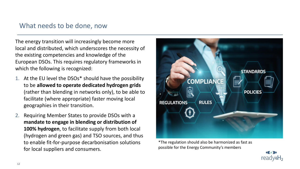# What needs to be done, now

The energy transition will increasingly become more local and distributed, which underscores the necessity of the existing competencies and knowledge of the European DSOs. This requires regulatory frameworks in which the following is recognized:

- 1. At the EU level the DSOs\* should have the possibility to be **allowed to operate dedicated hydrogen grids**  (rather than blending in networks only), to be able to facilitate (where appropriate) faster moving local geographies in their transition.
- 2. Requiring Member States to provide DSOs with a **mandate to engage in blending or distribution of 100% hydrogen**, to facilitate supply from both local (hydrogen and green gas) and TSO sources, and thus to enable fit-for-purpose decarbonisation solutions for local suppliers and consumers.



\*The regulation should also be harmonized as fast as possible for the Energy Community's members

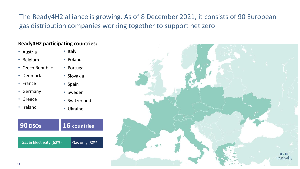# The Ready4H2 alliance is growing. As of 8 December 2021, it consists of 90 European gas distribution companies working together to support net zero

#### **Ready4H2 participating countries:**

- Austria
- Belgium
- Czech Republic
- Denmark
- France
- Germany
- Greece
- Ireland
- Italy
- Poland
- Portugal
- Slovakia
- Spain
- Sweden
- Switzerland
- Ukraine



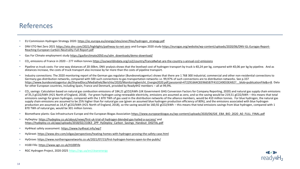# References

- EU Commission Hydrogen Strategy 2020: [https://ec.europa.eu/energy/sites/ener/files/hydrogen\\_strategy.pdf](https://ec.europa.eu/energy/sites/ener/files/hydrogen_strategy.pdf)
- DNV ETO Net Zero 2021 <https://eto.dnv.com/2021/highlights/pathway-to-net-zero> [and Eurogas 2020 study https://eurogas.org/website/wp-content/uploads/2020/06/DNV-GL-Eurogas-Report-](https://eurogas.org/website/wp-content/uploads/2020/06/DNV-GL-Eurogas-Report-Reaching-European-Carbon-Neutrality-Full-Report.pdf)Reaching-European-Carbon-Neutrality-Full-Report.pdf
- Gas For Climate employment study [https://gasforclimate2050.eu/sdm\\_downloads/demo-download/](https://gasforclimate2050.eu/sdm_downloads/demo-download/)
- CO<sup>2</sup> emissions of France in 2020 277 million tonnes <https://ourworldindata.org/co2/country/france#what-are-the-country-s-annual-co2-emissions>
- Pipeline vs truck costs: For one-way distances of 20-30km, DNV analysis shows that the levelised cost of hydrogen transport by truck is €0,24 per kg, compared with €0,06 per kg by pipeline. And as distances increase, the costs of truck transport also increase by far more than the costs of pipeline transport.
- Industry connections: The 2020 monitoring report of the German gas regulator (Bundesnetzagentur) shows that there are 1 768 300 industrial, commercial and other non-residential connections to Germany gas distribution networks, compared with 500 such connections to gas transportation networks i.e. 99,97% of such connections are to distribution networks. See p.337 https://www.bundesnetzagentur.de/SharedDocs/Mediathek/Berichte/2020/Monitoringbericht\_Energie2020.pdf;jsessionid=472291664C839665B7F41CCA9033EA92? blob=publicationFile&v=8. Data for other European countries, including Spain, France and Denmark, provided by Ready4H2 members – all at 99,9%.
- $\cdot$  CO<sub>2</sub> savings: Calculation based on natural gas combustion emissions of 184,21 gCO2/kWh (UK Government GHG Conversion Factors for Company Reporting, 2020) and natural gas supply chain emissions of 35,3 gCO2/kWh (H21 North of England, 2018). For green hydrogen using renewable electricity, emissions are assumed as zero, and so the saving would be 219,51 gCO2/kWh – this means that total emissions savings for green hydrogen, compared with the 1 870 TWh of gas used in the distribution networks of the alliance members, would be 410 million tonnes. For blue hydrogen, the natural gas supply chain emissions are assumed to be 25% higher than for natural gas use (given an assumed blue hydrogen production efficiency of 80%), and the emissions associated with blue hydrogen production are assumed as 14,47 gCO2/kWh (H21 North of England, 2018), so the saving would be 160,92 gCO2/kWh – this means that total emissions savings from blue hydrogen, compared with 1 870 TWh of natural gas, would be 301 million tonnes.
- Biomethane plants: Gas Infrastructure Europe and the European Biogas Association [https://www.europeanbiogas.eu/wp-content/uploads/2020/06/GIE\\_EBA\\_BIO\\_2020\\_A0\\_FULL\\_FINAL.pdf](https://www.europeanbiogas.eu/wp-content/uploads/2020/06/GIE_EBA_BIO_2020_A0_FULL_FINAL.pdf)
- HyDeploy:<https://hydeploy.co.uk/about/news/first-uk-trial-of-hydrogen-blended-gas-hailed-a-success/> and [https://hydeploy.co.uk/app/uploads/2018/02/21063\\_2PP\\_HyDeploy\\_Carbon\\_Savings\\_Handout\\_DIGITAL.pdf](https://hydeploy.co.uk/app/uploads/2018/02/21063_2PP_HyDeploy_Carbon_Savings_Handout_DIGITAL.pdf)
- Hy4Heat safety assessment: <https://www.hy4heat.info/wp7>
- HyStreet:<https://www.dnv.com/oilgas/perspectives/heating-homes-with-hydrogen-proving-the-safety-case.html>
- HyGrove:<https://www.northerngasnetworks.co.uk/2021/07/15/first-hydrogen-homes-open-to-the-public/>
- H100 Fife: <https://www.sgn.co.uk/H100Fife>
- RGC Hydrogen Project, 2020-2025 <https://rgc.ua/en/cleanenergy>